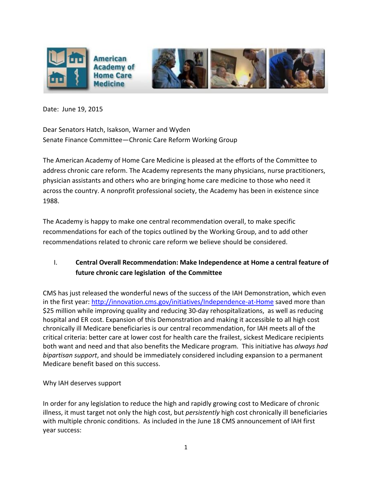

Date: June 19, 2015

Dear Senators Hatch, Isakson, Warner and Wyden Senate Finance Committee—Chronic Care Reform Working Group

The American Academy of Home Care Medicine is pleased at the efforts of the Committee to address chronic care reform. The Academy represents the many physicians, nurse practitioners, physician assistants and others who are bringing home care medicine to those who need it across the country. A nonprofit professional society, the Academy has been in existence since 1988.

The Academy is happy to make one central recommendation overall, to make specific recommendations for each of the topics outlined by the Working Group, and to add other recommendations related to chronic care reform we believe should be considered.

### I. **Central Overall Recommendation: Make Independence at Home a central feature of future chronic care legislation of the Committee**

CMS has just released the wonderful news of the success of the IAH Demonstration, which even in the first year:<http://innovation.cms.gov/initiatives/Independence-at-Home> saved more than \$25 million while improving quality and reducing 30-day rehospitalizations, as well as reducing hospital and ER cost. Expansion of this Demonstration and making it accessible to all high cost chronically ill Medicare beneficiaries is our central recommendation, for IAH meets all of the critical criteria: better care at lower cost for health care the frailest, sickest Medicare recipients both want and need and that also benefits the Medicare program. This initiative has *always had bipartisan support*, and should be immediately considered including expansion to a permanent Medicare benefit based on this success.

Why IAH deserves support

In order for any legislation to reduce the high and rapidly growing cost to Medicare of chronic illness, it must target not only the high cost, but *persistently* high cost chronically ill beneficiaries with multiple chronic conditions. As included in the June 18 CMS announcement of IAH first year success: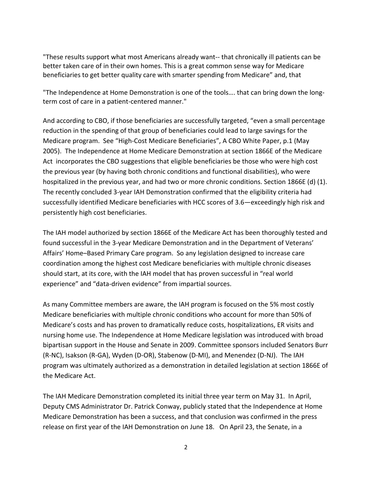"These results support what most Americans already want-- that chronically ill patients can be better taken care of in their own homes. This is a great common sense way for Medicare beneficiaries to get better quality care with smarter spending from Medicare" and, that

"The Independence at Home Demonstration is one of the tools…. that can bring down the longterm cost of care in a patient-centered manner."

And according to CBO, if those beneficiaries are successfully targeted, "even a small percentage reduction in the spending of that group of beneficiaries could lead to large savings for the Medicare program. See "High-Cost Medicare Beneficiaries", A CBO White Paper, p.1 (May 2005). The Independence at Home Medicare Demonstration at section 1866E of the Medicare Act incorporates the CBO suggestions that eligible beneficiaries be those who were high cost the previous year (by having both chronic conditions and functional disabilities), who were hospitalized in the previous year, and had two or more chronic conditions. Section 1866E (d) (1). The recently concluded 3-year IAH Demonstration confirmed that the eligibility criteria had successfully identified Medicare beneficiaries with HCC scores of 3.6—exceedingly high risk and persistently high cost beneficiaries.

The IAH model authorized by section 1866E of the Medicare Act has been thoroughly tested and found successful in the 3-year Medicare Demonstration and in the Department of Veterans' Affairs' Home–Based Primary Care program. So any legislation designed to increase care coordination among the highest cost Medicare beneficiaries with multiple chronic diseases should start, at its core, with the IAH model that has proven successful in "real world experience" and "data-driven evidence" from impartial sources.

As many Committee members are aware, the IAH program is focused on the 5% most costly Medicare beneficiaries with multiple chronic conditions who account for more than 50% of Medicare's costs and has proven to dramatically reduce costs, hospitalizations, ER visits and nursing home use. The Independence at Home Medicare legislation was introduced with broad bipartisan support in the House and Senate in 2009. Committee sponsors included Senators Burr (R-NC), Isakson (R-GA), Wyden (D-OR), Stabenow (D-MI), and Menendez (D-NJ). The IAH program was ultimately authorized as a demonstration in detailed legislation at section 1866E of the Medicare Act.

The IAH Medicare Demonstration completed its initial three year term on May 31. In April, Deputy CMS Administrator Dr. Patrick Conway, publicly stated that the Independence at Home Medicare Demonstration has been a success, and that conclusion was confirmed in the press release on first year of the IAH Demonstration on June 18. On April 23, the Senate, in a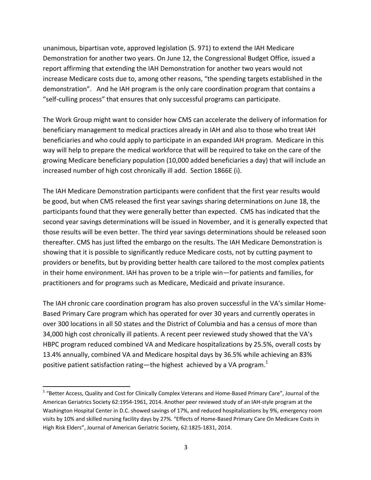unanimous, bipartisan vote, approved legislation (S. 971) to extend the IAH Medicare Demonstration for another two years. On June 12, the Congressional Budget Office, issued a report affirming that extending the IAH Demonstration for another two years would not increase Medicare costs due to, among other reasons, "the spending targets established in the demonstration". And he IAH program is the only care coordination program that contains a "self-culling process" that ensures that only successful programs can participate.

The Work Group might want to consider how CMS can accelerate the delivery of information for beneficiary management to medical practices already in IAH and also to those who treat IAH beneficiaries and who could apply to participate in an expanded IAH program. Medicare in this way will help to prepare the medical workforce that will be required to take on the care of the growing Medicare beneficiary population (10,000 added beneficiaries a day) that will include an increased number of high cost chronically ill add. Section 1866E (i).

The IAH Medicare Demonstration participants were confident that the first year results would be good, but when CMS released the first year savings sharing determinations on June 18, the participants found that they were generally better than expected. CMS has indicated that the second year savings determinations will be issued in November, and it is generally expected that those results will be even better. The third year savings determinations should be released soon thereafter. CMS has just lifted the embargo on the results. The IAH Medicare Demonstration is showing that it is possible to significantly reduce Medicare costs, not by cutting payment to providers or benefits, but by providing better health care tailored to the most complex patients in their home environment. IAH has proven to be a triple win—for patients and families, for practitioners and for programs such as Medicare, Medicaid and private insurance.

The IAH chronic care coordination program has also proven successful in the VA's similar Home-Based Primary Care program which has operated for over 30 years and currently operates in over 300 locations in all 50 states and the District of Columbia and has a census of more than 34,000 high cost chronically ill patients. A recent peer reviewed study showed that the VA's HBPC program reduced combined VA and Medicare hospitalizations by 25.5%, overall costs by 13.4% annually, combined VA and Medicare hospital days by 36.5% while achieving an 83% positive patient satisfaction rating—the highest achieved by a VA program.<sup>1</sup>

 $\overline{a}$ 

<sup>&</sup>lt;sup>1</sup> "Better Access, Quality and Cost for Clinically Complex Veterans and Home-Based Primary Care", Journal of the American Geriatrics Society 62:1954-1961, 2014. Another peer reviewed study of an IAH-style program at the Washington Hospital Center in D.C. showed savings of 17%, and reduced hospitalizations by 9%, emergency room visits by 10% and skilled nursing facility days by 27%. "Effects of Home-Based Primary Care On Medicare Costs in High Risk Elders", Journal of American Geriatric Society, 62:1825-1831, 2014.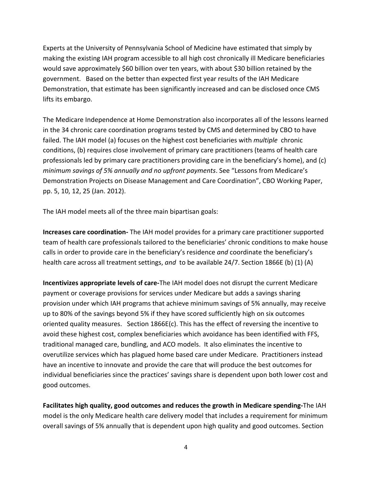Experts at the University of Pennsylvania School of Medicine have estimated that simply by making the existing IAH program accessible to all high cost chronically ill Medicare beneficiaries would save approximately \$60 billion over ten years, with about \$30 billion retained by the government. Based on the better than expected first year results of the IAH Medicare Demonstration, that estimate has been significantly increased and can be disclosed once CMS lifts its embargo.

The Medicare Independence at Home Demonstration also incorporates all of the lessons learned in the 34 chronic care coordination programs tested by CMS and determined by CBO to have failed. The IAH model (a) focuses on the highest cost beneficiaries with *multiple* chronic conditions, (b) requires close involvement of primary care practitioners (teams of health care professionals led by primary care practitioners providing care in the beneficiary's home), and (c) *minimum savings of 5% annually and no upfront payments*. See "Lessons from Medicare's Demonstration Projects on Disease Management and Care Coordination", CBO Working Paper, pp. 5, 10, 12, 25 (Jan. 2012).

The IAH model meets all of the three main bipartisan goals:

**Increases care coordination-** The IAH model provides for a primary care practitioner supported team of health care professionals tailored to the beneficiaries' chronic conditions to make house calls in order to provide care in the beneficiary's residence *and* coordinate the beneficiary's health care across all treatment settings, and to be available 24/7. Section 1866E (b) (1) (A)

**Incentivizes appropriate levels of care-**The IAH model does not disrupt the current Medicare payment or coverage provisions for services under Medicare but adds a savings sharing provision under which IAH programs that achieve minimum savings of 5% annually, may receive up to 80% of the savings beyond 5% if they have scored sufficiently high on six outcomes oriented quality measures. Section 1866E(c). This has the effect of reversing the incentive to avoid these highest cost, complex beneficiaries which avoidance has been identified with FFS, traditional managed care, bundling, and ACO models. It also eliminates the incentive to overutilize services which has plagued home based care under Medicare. Practitioners instead have an incentive to innovate and provide the care that will produce the best outcomes for individual beneficiaries since the practices' savings share is dependent upon both lower cost and good outcomes.

**Facilitates high quality, good outcomes and reduces the growth in Medicare spending-**The IAH model is the only Medicare health care delivery model that includes a requirement for minimum overall savings of 5% annually that is dependent upon high quality and good outcomes. Section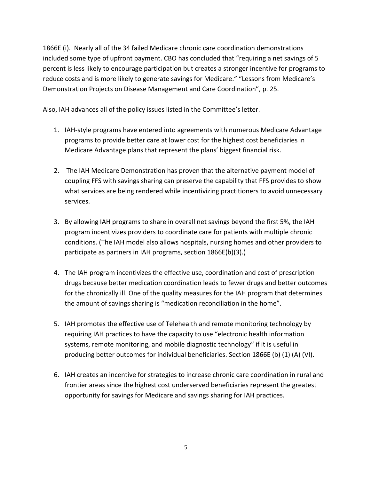1866E (i). Nearly all of the 34 failed Medicare chronic care coordination demonstrations included some type of upfront payment. CBO has concluded that "requiring a net savings of 5 percent is less likely to encourage participation but creates a stronger incentive for programs to reduce costs and is more likely to generate savings for Medicare." "Lessons from Medicare's Demonstration Projects on Disease Management and Care Coordination", p. 25.

Also, IAH advances all of the policy issues listed in the Committee's letter.

- 1. IAH-style programs have entered into agreements with numerous Medicare Advantage programs to provide better care at lower cost for the highest cost beneficiaries in Medicare Advantage plans that represent the plans' biggest financial risk.
- 2. The IAH Medicare Demonstration has proven that the alternative payment model of coupling FFS with savings sharing can preserve the capability that FFS provides to show what services are being rendered while incentivizing practitioners to avoid unnecessary services.
- 3. By allowing IAH programs to share in overall net savings beyond the first 5%, the IAH program incentivizes providers to coordinate care for patients with multiple chronic conditions. (The IAH model also allows hospitals, nursing homes and other providers to participate as partners in IAH programs, section 1866E(b)(3).)
- 4. The IAH program incentivizes the effective use, coordination and cost of prescription drugs because better medication coordination leads to fewer drugs and better outcomes for the chronically ill. One of the quality measures for the IAH program that determines the amount of savings sharing is "medication reconciliation in the home".
- 5. IAH promotes the effective use of Telehealth and remote monitoring technology by requiring IAH practices to have the capacity to use "electronic health information systems, remote monitoring, and mobile diagnostic technology" if it is useful in producing better outcomes for individual beneficiaries. Section 1866E (b) (1) (A) (VI).
- 6. IAH creates an incentive for strategies to increase chronic care coordination in rural and frontier areas since the highest cost underserved beneficiaries represent the greatest opportunity for savings for Medicare and savings sharing for IAH practices.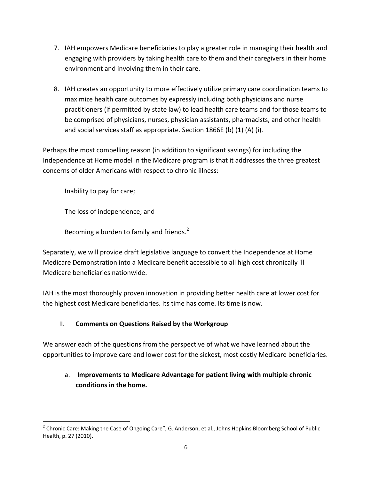- 7. IAH empowers Medicare beneficiaries to play a greater role in managing their health and engaging with providers by taking health care to them and their caregivers in their home environment and involving them in their care.
- 8. IAH creates an opportunity to more effectively utilize primary care coordination teams to maximize health care outcomes by expressly including both physicians and nurse practitioners (if permitted by state law) to lead health care teams and for those teams to be comprised of physicians, nurses, physician assistants, pharmacists, and other health and social services staff as appropriate. Section 1866E (b) (1) (A) (i).

Perhaps the most compelling reason (in addition to significant savings) for including the Independence at Home model in the Medicare program is that it addresses the three greatest concerns of older Americans with respect to chronic illness:

Inability to pay for care;

The loss of independence; and

Becoming a burden to family and friends. $<sup>2</sup>$ </sup>

Separately, we will provide draft legislative language to convert the Independence at Home Medicare Demonstration into a Medicare benefit accessible to all high cost chronically ill Medicare beneficiaries nationwide.

IAH is the most thoroughly proven innovation in providing better health care at lower cost for the highest cost Medicare beneficiaries. Its time has come. Its time is now.

## II. **Comments on Questions Raised by the Workgroup**

We answer each of the questions from the perspective of what we have learned about the opportunities to improve care and lower cost for the sickest, most costly Medicare beneficiaries.

## a. **Improvements to Medicare Advantage for patient living with multiple chronic conditions in the home.**

 $\ddot{\phantom{a}}$ <sup>2</sup> Chronic Care: Making the Case of Ongoing Care", G. Anderson, et al., Johns Hopkins Bloomberg School of Public Health, p. 27 (2010).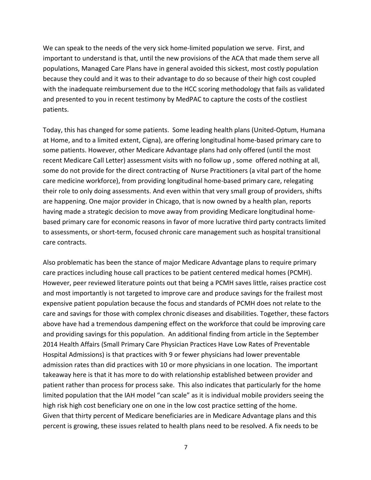We can speak to the needs of the very sick home-limited population we serve. First, and important to understand is that, until the new provisions of the ACA that made them serve all populations, Managed Care Plans have in general avoided this sickest, most costly population because they could and it was to their advantage to do so because of their high cost coupled with the inadequate reimbursement due to the HCC scoring methodology that fails as validated and presented to you in recent testimony by MedPAC to capture the costs of the costliest patients.

Today, this has changed for some patients. Some leading health plans (United-Optum, Humana at Home, and to a limited extent, Cigna), are offering longitudinal home-based primary care to some patients. However, other Medicare Advantage plans had only offered (until the most recent Medicare Call Letter) assessment visits with no follow up , some offered nothing at all, some do not provide for the direct contracting of Nurse Practitioners (a vital part of the home care medicine workforce), from providing longitudinal home-based primary care, relegating their role to only doing assessments. And even within that very small group of providers, shifts are happening. One major provider in Chicago, that is now owned by a health plan, reports having made a strategic decision to move away from providing Medicare longitudinal homebased primary care for economic reasons in favor of more lucrative third party contracts limited to assessments, or short-term, focused chronic care management such as hospital transitional care contracts.

Also problematic has been the stance of major Medicare Advantage plans to require primary care practices including house call practices to be patient centered medical homes (PCMH). However, peer reviewed literature points out that being a PCMH saves little, raises practice cost and most importantly is not targeted to improve care and produce savings for the frailest most expensive patient population because the focus and standards of PCMH does not relate to the care and savings for those with complex chronic diseases and disabilities. Together, these factors above have had a tremendous dampening effect on the workforce that could be improving care and providing savings for this population. An additional finding from article in the September 2014 Health Affairs (Small Primary Care Physician Practices Have Low Rates of Preventable Hospital Admissions) is that practices with 9 or fewer physicians had lower preventable admission rates than did practices with 10 or more physicians in one location. The important takeaway here is that it has more to do with relationship established between provider and patient rather than process for process sake. This also indicates that particularly for the home limited population that the IAH model "can scale" as it is individual mobile providers seeing the high risk high cost beneficiary one on one in the low cost practice setting of the home. Given that thirty percent of Medicare beneficiaries are in Medicare Advantage plans and this percent is growing, these issues related to health plans need to be resolved. A fix needs to be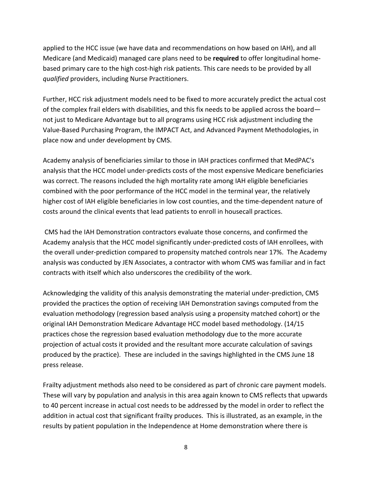applied to the HCC issue (we have data and recommendations on how based on IAH), and all Medicare (and Medicaid) managed care plans need to be **required** to offer longitudinal homebased primary care to the high cost-high risk patients. This care needs to be provided by all *qualified* providers, including Nurse Practitioners.

Further, HCC risk adjustment models need to be fixed to more accurately predict the actual cost of the complex frail elders with disabilities, and this fix needs to be applied across the board not just to Medicare Advantage but to all programs using HCC risk adjustment including the Value-Based Purchasing Program, the IMPACT Act, and Advanced Payment Methodologies, in place now and under development by CMS.

Academy analysis of beneficiaries similar to those in IAH practices confirmed that MedPAC's analysis that the HCC model under-predicts costs of the most expensive Medicare beneficiaries was correct. The reasons included the high mortality rate among IAH eligible beneficiaries combined with the poor performance of the HCC model in the terminal year, the relatively higher cost of IAH eligible beneficiaries in low cost counties, and the time-dependent nature of costs around the clinical events that lead patients to enroll in housecall practices.

CMS had the IAH Demonstration contractors evaluate those concerns, and confirmed the Academy analysis that the HCC model significantly under-predicted costs of IAH enrollees, with the overall under-prediction compared to propensity matched controls near 17%. The Academy analysis was conducted by JEN Associates, a contractor with whom CMS was familiar and in fact contracts with itself which also underscores the credibility of the work.

Acknowledging the validity of this analysis demonstrating the material under-prediction, CMS provided the practices the option of receiving IAH Demonstration savings computed from the evaluation methodology (regression based analysis using a propensity matched cohort) or the original IAH Demonstration Medicare Advantage HCC model based methodology. (14/15 practices chose the regression based evaluation methodology due to the more accurate projection of actual costs it provided and the resultant more accurate calculation of savings produced by the practice). These are included in the savings highlighted in the CMS June 18 press release.

Frailty adjustment methods also need to be considered as part of chronic care payment models. These will vary by population and analysis in this area again known to CMS reflects that upwards to 40 percent increase in actual cost needs to be addressed by the model in order to reflect the addition in actual cost that significant frailty produces. This is illustrated, as an example, in the results by patient population in the Independence at Home demonstration where there is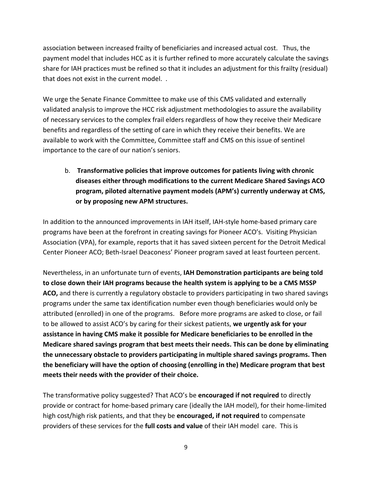association between increased frailty of beneficiaries and increased actual cost. Thus, the payment model that includes HCC as it is further refined to more accurately calculate the savings share for IAH practices must be refined so that it includes an adjustment for this frailty (residual) that does not exist in the current model. .

We urge the Senate Finance Committee to make use of this CMS validated and externally validated analysis to improve the HCC risk adjustment methodologies to assure the availability of necessary services to the complex frail elders regardless of how they receive their Medicare benefits and regardless of the setting of care in which they receive their benefits. We are available to work with the Committee, Committee staff and CMS on this issue of sentinel importance to the care of our nation's seniors.

b. **Transformative policies that improve outcomes for patients living with chronic diseases either through modifications to the current Medicare Shared Savings ACO program, piloted alternative payment models (APM's) currently underway at CMS, or by proposing new APM structures.**

In addition to the announced improvements in IAH itself, IAH-style home-based primary care programs have been at the forefront in creating savings for Pioneer ACO's. Visiting Physician Association (VPA), for example, reports that it has saved sixteen percent for the Detroit Medical Center Pioneer ACO; Beth-Israel Deaconess' Pioneer program saved at least fourteen percent.

Nevertheless, in an unfortunate turn of events, **IAH Demonstration participants are being told to close down their IAH programs because the health system is applying to be a CMS MSSP ACO,** and there is currently a regulatory obstacle to providers participating in two shared savings programs under the same tax identification number even though beneficiaries would only be attributed (enrolled) in one of the programs. Before more programs are asked to close, or fail to be allowed to assist ACO's by caring for their sickest patients, **we urgently ask for your assistance in having CMS make it possible for Medicare beneficiaries to be enrolled in the Medicare shared savings program that best meets their needs. This can be done by eliminating the unnecessary obstacle to providers participating in multiple shared savings programs. Then the beneficiary will have the option of choosing (enrolling in the) Medicare program that best meets their needs with the provider of their choice.** 

The transformative policy suggested? That ACO's be **encouraged if not required** to directly provide or contract for home-based primary care (ideally the IAH model), for their home-limited high cost/high risk patients, and that they be **encouraged, if not required** to compensate providers of these services for the **full costs and value** of their IAH model care. This is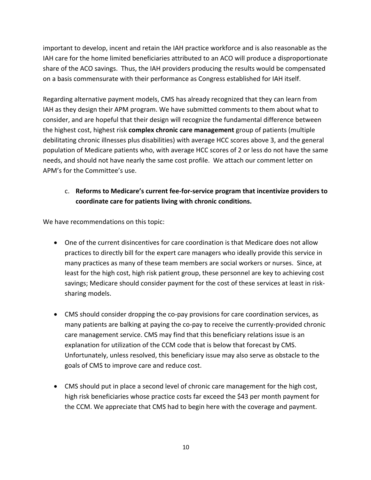important to develop, incent and retain the IAH practice workforce and is also reasonable as the IAH care for the home limited beneficiaries attributed to an ACO will produce a disproportionate share of the ACO savings. Thus, the IAH providers producing the results would be compensated on a basis commensurate with their performance as Congress established for IAH itself.

Regarding alternative payment models, CMS has already recognized that they can learn from IAH as they design their APM program. We have submitted comments to them about what to consider, and are hopeful that their design will recognize the fundamental difference between the highest cost, highest risk **complex chronic care management** group of patients (multiple debilitating chronic illnesses plus disabilities) with average HCC scores above 3, and the general population of Medicare patients who, with average HCC scores of 2 or less do not have the same needs, and should not have nearly the same cost profile. We attach our comment letter on APM's for the Committee's use.

### c. **Reforms to Medicare's current fee-for-service program that incentivize providers to coordinate care for patients living with chronic conditions.**

We have recommendations on this topic:

- One of the current disincentives for care coordination is that Medicare does not allow practices to directly bill for the expert care managers who ideally provide this service in many practices as many of these team members are social workers or nurses. Since, at least for the high cost, high risk patient group, these personnel are key to achieving cost savings; Medicare should consider payment for the cost of these services at least in risksharing models.
- CMS should consider dropping the co-pay provisions for care coordination services, as many patients are balking at paying the co-pay to receive the currently-provided chronic care management service. CMS may find that this beneficiary relations issue is an explanation for utilization of the CCM code that is below that forecast by CMS. Unfortunately, unless resolved, this beneficiary issue may also serve as obstacle to the goals of CMS to improve care and reduce cost.
- CMS should put in place a second level of chronic care management for the high cost, high risk beneficiaries whose practice costs far exceed the \$43 per month payment for the CCM. We appreciate that CMS had to begin here with the coverage and payment.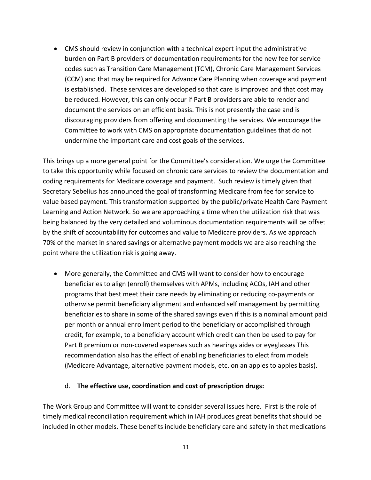CMS should review in conjunction with a technical expert input the administrative burden on Part B providers of documentation requirements for the new fee for service codes such as Transition Care Management (TCM), Chronic Care Management Services (CCM) and that may be required for Advance Care Planning when coverage and payment is established. These services are developed so that care is improved and that cost may be reduced. However, this can only occur if Part B providers are able to render and document the services on an efficient basis. This is not presently the case and is discouraging providers from offering and documenting the services. We encourage the Committee to work with CMS on appropriate documentation guidelines that do not undermine the important care and cost goals of the services.

This brings up a more general point for the Committee's consideration. We urge the Committee to take this opportunity while focused on chronic care services to review the documentation and coding requirements for Medicare coverage and payment. Such review is timely given that Secretary Sebelius has announced the goal of transforming Medicare from fee for service to value based payment. This transformation supported by the public/private Health Care Payment Learning and Action Network. So we are approaching a time when the utilization risk that was being balanced by the very detailed and voluminous documentation requirements will be offset by the shift of accountability for outcomes and value to Medicare providers. As we approach 70% of the market in shared savings or alternative payment models we are also reaching the point where the utilization risk is going away.

 More generally, the Committee and CMS will want to consider how to encourage beneficiaries to align (enroll) themselves with APMs, including ACOs, IAH and other programs that best meet their care needs by eliminating or reducing co-payments or otherwise permit beneficiary alignment and enhanced self management by permitting beneficiaries to share in some of the shared savings even if this is a nominal amount paid per month or annual enrollment period to the beneficiary or accomplished through credit, for example, to a beneficiary account which credit can then be used to pay for Part B premium or non-covered expenses such as hearings aides or eyeglasses This recommendation also has the effect of enabling beneficiaries to elect from models (Medicare Advantage, alternative payment models, etc. on an apples to apples basis).

#### d. **The effective use, coordination and cost of prescription drugs:**

The Work Group and Committee will want to consider several issues here. First is the role of timely medical reconciliation requirement which in IAH produces great benefits that should be included in other models. These benefits include beneficiary care and safety in that medications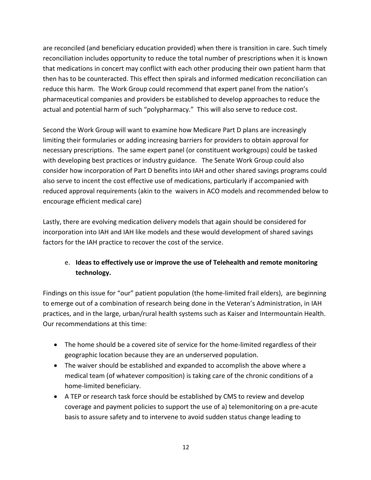are reconciled (and beneficiary education provided) when there is transition in care. Such timely reconciliation includes opportunity to reduce the total number of prescriptions when it is known that medications in concert may conflict with each other producing their own patient harm that then has to be counteracted. This effect then spirals and informed medication reconciliation can reduce this harm. The Work Group could recommend that expert panel from the nation's pharmaceutical companies and providers be established to develop approaches to reduce the actual and potential harm of such "polypharmacy." This will also serve to reduce cost.

Second the Work Group will want to examine how Medicare Part D plans are increasingly limiting their formularies or adding increasing barriers for providers to obtain approval for necessary prescriptions. The same expert panel (or constituent workgroups) could be tasked with developing best practices or industry guidance. The Senate Work Group could also consider how incorporation of Part D benefits into IAH and other shared savings programs could also serve to incent the cost effective use of medications, particularly if accompanied with reduced approval requirements (akin to the waivers in ACO models and recommended below to encourage efficient medical care)

Lastly, there are evolving medication delivery models that again should be considered for incorporation into IAH and IAH like models and these would development of shared savings factors for the IAH practice to recover the cost of the service.

## e. **Ideas to effectively use or improve the use of Telehealth and remote monitoring technology.**

Findings on this issue for "our" patient population (the home-limited frail elders), are beginning to emerge out of a combination of research being done in the Veteran's Administration, in IAH practices, and in the large, urban/rural health systems such as Kaiser and Intermountain Health. Our recommendations at this time:

- The home should be a covered site of service for the home-limited regardless of their geographic location because they are an underserved population.
- The waiver should be established and expanded to accomplish the above where a medical team (of whatever composition) is taking care of the chronic conditions of a home-limited beneficiary.
- A TEP or research task force should be established by CMS to review and develop coverage and payment policies to support the use of a) telemonitoring on a pre-acute basis to assure safety and to intervene to avoid sudden status change leading to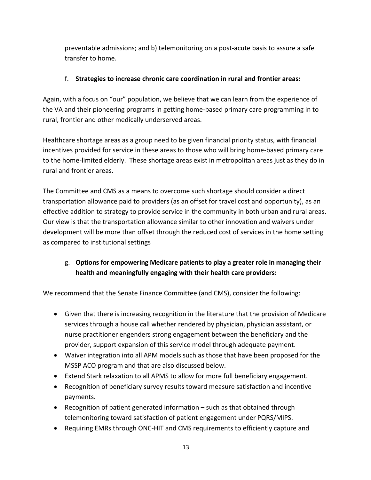preventable admissions; and b) telemonitoring on a post-acute basis to assure a safe transfer to home.

### f. **Strategies to increase chronic care coordination in rural and frontier areas:**

Again, with a focus on "our" population, we believe that we can learn from the experience of the VA and their pioneering programs in getting home-based primary care programming in to rural, frontier and other medically underserved areas.

Healthcare shortage areas as a group need to be given financial priority status, with financial incentives provided for service in these areas to those who will bring home-based primary care to the home-limited elderly. These shortage areas exist in metropolitan areas just as they do in rural and frontier areas.

The Committee and CMS as a means to overcome such shortage should consider a direct transportation allowance paid to providers (as an offset for travel cost and opportunity), as an effective addition to strategy to provide service in the community in both urban and rural areas. Our view is that the transportation allowance similar to other innovation and waivers under development will be more than offset through the reduced cost of services in the home setting as compared to institutional settings

## g. **Options for empowering Medicare patients to play a greater role in managing their health and meaningfully engaging with their health care providers:**

We recommend that the Senate Finance Committee (and CMS), consider the following:

- Given that there is increasing recognition in the literature that the provision of Medicare services through a house call whether rendered by physician, physician assistant, or nurse practitioner engenders strong engagement between the beneficiary and the provider, support expansion of this service model through adequate payment.
- Waiver integration into all APM models such as those that have been proposed for the MSSP ACO program and that are also discussed below.
- Extend Stark relaxation to all APMS to allow for more full beneficiary engagement.
- Recognition of beneficiary survey results toward measure satisfaction and incentive payments.
- Recognition of patient generated information such as that obtained through telemonitoring toward satisfaction of patient engagement under PQRS/MIPS.
- Requiring EMRs through ONC-HIT and CMS requirements to efficiently capture and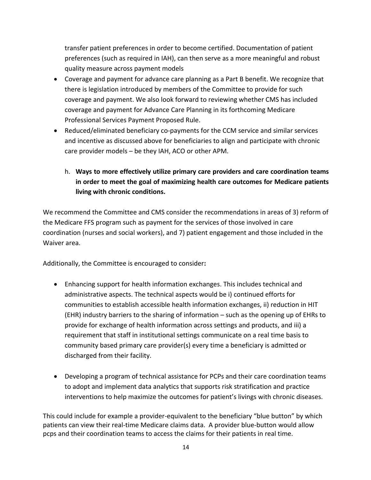transfer patient preferences in order to become certified. Documentation of patient preferences (such as required in IAH), can then serve as a more meaningful and robust quality measure across payment models

- Coverage and payment for advance care planning as a Part B benefit. We recognize that there is legislation introduced by members of the Committee to provide for such coverage and payment. We also look forward to reviewing whether CMS has included coverage and payment for Advance Care Planning in its forthcoming Medicare Professional Services Payment Proposed Rule.
- Reduced/eliminated beneficiary co-payments for the CCM service and similar services and incentive as discussed above for beneficiaries to align and participate with chronic care provider models – be they IAH, ACO or other APM.
	- h. **Ways to more effectively utilize primary care providers and care coordination teams in order to meet the goal of maximizing health care outcomes for Medicare patients living with chronic conditions.**

We recommend the Committee and CMS consider the recommendations in areas of 3) reform of the Medicare FFS program such as payment for the services of those involved in care coordination (nurses and social workers), and 7) patient engagement and those included in the Waiver area.

Additionally, the Committee is encouraged to consider**:**

- Enhancing support for health information exchanges. This includes technical and administrative aspects. The technical aspects would be i) continued efforts for communities to establish accessible health information exchanges, ii) reduction in HIT (EHR) industry barriers to the sharing of information – such as the opening up of EHRs to provide for exchange of health information across settings and products, and iii) a requirement that staff in institutional settings communicate on a real time basis to community based primary care provider(s) every time a beneficiary is admitted or discharged from their facility.
- Developing a program of technical assistance for PCPs and their care coordination teams to adopt and implement data analytics that supports risk stratification and practice interventions to help maximize the outcomes for patient's livings with chronic diseases.

This could include for example a provider-equivalent to the beneficiary "blue button" by which patients can view their real-time Medicare claims data. A provider blue-button would allow pcps and their coordination teams to access the claims for their patients in real time.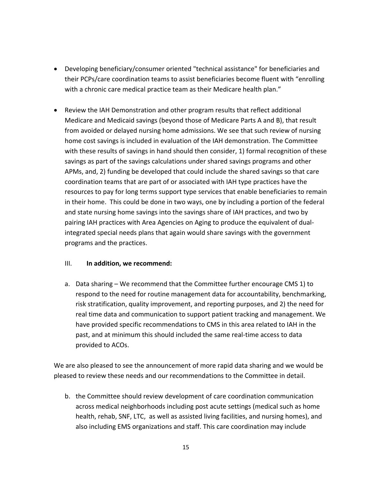- Developing beneficiary/consumer oriented "technical assistance" for beneficiaries and their PCPs/care coordination teams to assist beneficiaries become fluent with "enrolling with a chronic care medical practice team as their Medicare health plan."
- Review the IAH Demonstration and other program results that reflect additional Medicare and Medicaid savings (beyond those of Medicare Parts A and B), that result from avoided or delayed nursing home admissions. We see that such review of nursing home cost savings is included in evaluation of the IAH demonstration. The Committee with these results of savings in hand should then consider, 1) formal recognition of these savings as part of the savings calculations under shared savings programs and other APMs, and, 2) funding be developed that could include the shared savings so that care coordination teams that are part of or associated with IAH type practices have the resources to pay for long terms support type services that enable beneficiaries to remain in their home. This could be done in two ways, one by including a portion of the federal and state nursing home savings into the savings share of IAH practices, and two by pairing IAH practices with Area Agencies on Aging to produce the equivalent of dualintegrated special needs plans that again would share savings with the government programs and the practices.

### III. **In addition, we recommend:**

a. Data sharing – We recommend that the Committee further encourage CMS 1) to respond to the need for routine management data for accountability, benchmarking, risk stratification, quality improvement, and reporting purposes, and 2) the need for real time data and communication to support patient tracking and management. We have provided specific recommendations to CMS in this area related to IAH in the past, and at minimum this should included the same real-time access to data provided to ACOs.

We are also pleased to see the announcement of more rapid data sharing and we would be pleased to review these needs and our recommendations to the Committee in detail.

b. the Committee should review development of care coordination communication across medical neighborhoods including post acute settings (medical such as home health, rehab, SNF, LTC, as well as assisted living facilities, and nursing homes), and also including EMS organizations and staff. This care coordination may include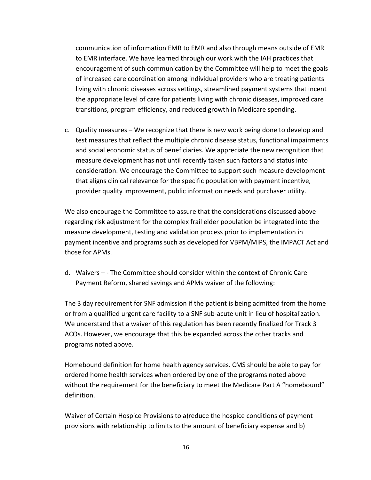communication of information EMR to EMR and also through means outside of EMR to EMR interface. We have learned through our work with the IAH practices that encouragement of such communication by the Committee will help to meet the goals of increased care coordination among individual providers who are treating patients living with chronic diseases across settings, streamlined payment systems that incent the appropriate level of care for patients living with chronic diseases, improved care transitions, program efficiency, and reduced growth in Medicare spending.

c. Quality measures – We recognize that there is new work being done to develop and test measures that reflect the multiple chronic disease status, functional impairments and social economic status of beneficiaries. We appreciate the new recognition that measure development has not until recently taken such factors and status into consideration. We encourage the Committee to support such measure development that aligns clinical relevance for the specific population with payment incentive, provider quality improvement, public information needs and purchaser utility.

We also encourage the Committee to assure that the considerations discussed above regarding risk adjustment for the complex frail elder population be integrated into the measure development, testing and validation process prior to implementation in payment incentive and programs such as developed for VBPM/MIPS, the IMPACT Act and those for APMs.

d. Waivers – - The Committee should consider within the context of Chronic Care Payment Reform, shared savings and APMs waiver of the following:

The 3 day requirement for SNF admission if the patient is being admitted from the home or from a qualified urgent care facility to a SNF sub-acute unit in lieu of hospitalization. We understand that a waiver of this regulation has been recently finalized for Track 3 ACOs. However, we encourage that this be expanded across the other tracks and programs noted above.

Homebound definition for home health agency services. CMS should be able to pay for ordered home health services when ordered by one of the programs noted above without the requirement for the beneficiary to meet the Medicare Part A "homebound" definition.

Waiver of Certain Hospice Provisions to a)reduce the hospice conditions of payment provisions with relationship to limits to the amount of beneficiary expense and b)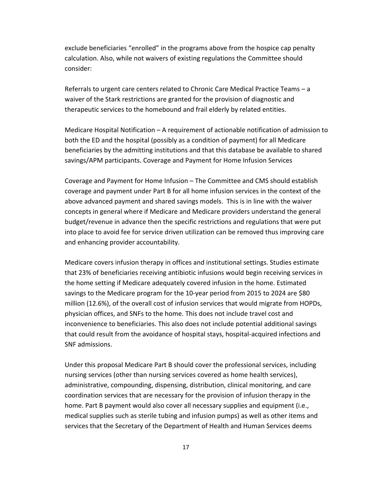exclude beneficiaries "enrolled" in the programs above from the hospice cap penalty calculation. Also, while not waivers of existing regulations the Committee should consider:

Referrals to urgent care centers related to Chronic Care Medical Practice Teams – a waiver of the Stark restrictions are granted for the provision of diagnostic and therapeutic services to the homebound and frail elderly by related entities.

Medicare Hospital Notification – A requirement of actionable notification of admission to both the ED and the hospital (possibly as a condition of payment) for all Medicare beneficiaries by the admitting institutions and that this database be available to shared savings/APM participants. Coverage and Payment for Home Infusion Services

Coverage and Payment for Home Infusion – The Committee and CMS should establish coverage and payment under Part B for all home infusion services in the context of the above advanced payment and shared savings models. This is in line with the waiver concepts in general where if Medicare and Medicare providers understand the general budget/revenue in advance then the specific restrictions and regulations that were put into place to avoid fee for service driven utilization can be removed thus improving care and enhancing provider accountability.

Medicare covers infusion therapy in offices and institutional settings. Studies estimate that 23% of beneficiaries receiving antibiotic infusions would begin receiving services in the home setting if Medicare adequately covered infusion in the home. Estimated savings to the Medicare program for the 10-year period from 2015 to 2024 are \$80 million (12.6%), of the overall cost of infusion services that would migrate from HOPDs, physician offices, and SNFs to the home. This does not include travel cost and inconvenience to beneficiaries. This also does not include potential additional savings that could result from the avoidance of hospital stays, hospital-acquired infections and SNF admissions.

Under this proposal Medicare Part B should cover the professional services, including nursing services (other than nursing services covered as home health services), administrative, compounding, dispensing, distribution, clinical monitoring, and care coordination services that are necessary for the provision of infusion therapy in the home. Part B payment would also cover all necessary supplies and equipment (i.e., medical supplies such as sterile tubing and infusion pumps) as well as other items and services that the Secretary of the Department of Health and Human Services deems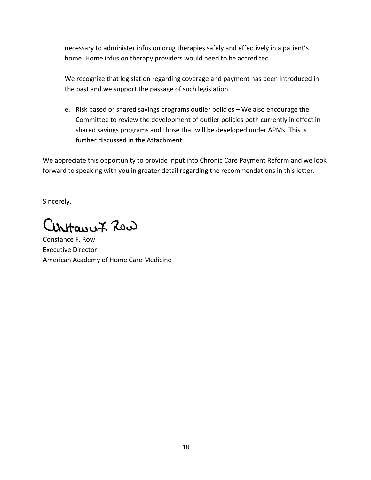necessary to administer infusion drug therapies safely and effectively in a patient's home. Home infusion therapy providers would need to be accredited.

We recognize that legislation regarding coverage and payment has been introduced in the past and we support the passage of such legislation.

e. Risk based or shared savings programs outlier policies – We also encourage the Committee to review the development of outlier policies both currently in effect in shared savings programs and those that will be developed under APMs. This is further discussed in the Attachment.

We appreciate this opportunity to provide input into Chronic Care Payment Reform and we look forward to speaking with you in greater detail regarding the recommendations in this letter.

Sincerely,

artanu7. Row

Constance F. Row Executive Director American Academy of Home Care Medicine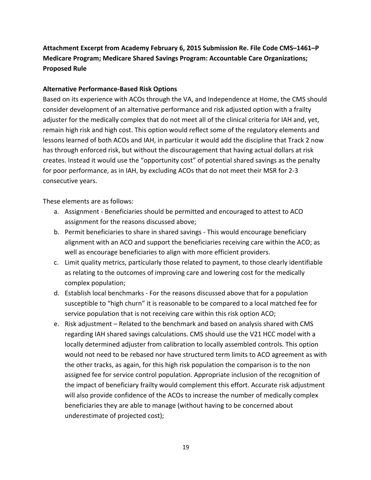# **Attachment Excerpt from Academy February 6, 2015 Submission Re. File Code CMS–1461–P Medicare Program; Medicare Shared Savings Program: Accountable Care Organizations; Proposed Rule**

#### **Alternative Performance-Based Risk Options**

Based on its experience with ACOs through the VA, and Independence at Home, the CMS should consider development of an alternative performance and risk adjusted option with a frailty adjuster for the medically complex that do not meet all of the clinical criteria for IAH and, yet, remain high risk and high cost. This option would reflect some of the regulatory elements and lessons learned of both ACOs and IAH, in particular it would add the discipline that Track 2 now has through enforced risk, but without the discouragement that having actual dollars at risk creates. Instead it would use the "opportunity cost" of potential shared savings as the penalty for poor performance, as in IAH, by excluding ACOs that do not meet their MSR for 2-3 consecutive years.

These elements are as follows:

- a. Assignment Beneficiaries should be permitted and encouraged to attest to ACO assignment for the reasons discussed above;
- b. Permit beneficiaries to share in shared savings This would encourage beneficiary alignment with an ACO and support the beneficiaries receiving care within the ACO; as well as encourage beneficiaries to align with more efficient providers.
- c. Limit quality metrics, particularly those related to payment, to those clearly identifiable as relating to the outcomes of improving care and lowering cost for the medically complex population;
- d. Establish local benchmarks For the reasons discussed above that for a population susceptible to "high churn" it is reasonable to be compared to a local matched fee for service population that is not receiving care within this risk option ACO;
- e. Risk adjustment Related to the benchmark and based on analysis shared with CMS regarding IAH shared savings calculations. CMS should use the V21 HCC model with a locally determined adjuster from calibration to locally assembled controls. This option would not need to be rebased nor have structured term limits to ACO agreement as with the other tracks, as again, for this high risk population the comparison is to the non assigned fee for service control population. Appropriate inclusion of the recognition of the impact of beneficiary frailty would complement this effort. Accurate risk adjustment will also provide confidence of the ACOs to increase the number of medically complex beneficiaries they are able to manage (without having to be concerned about underestimate of projected cost);